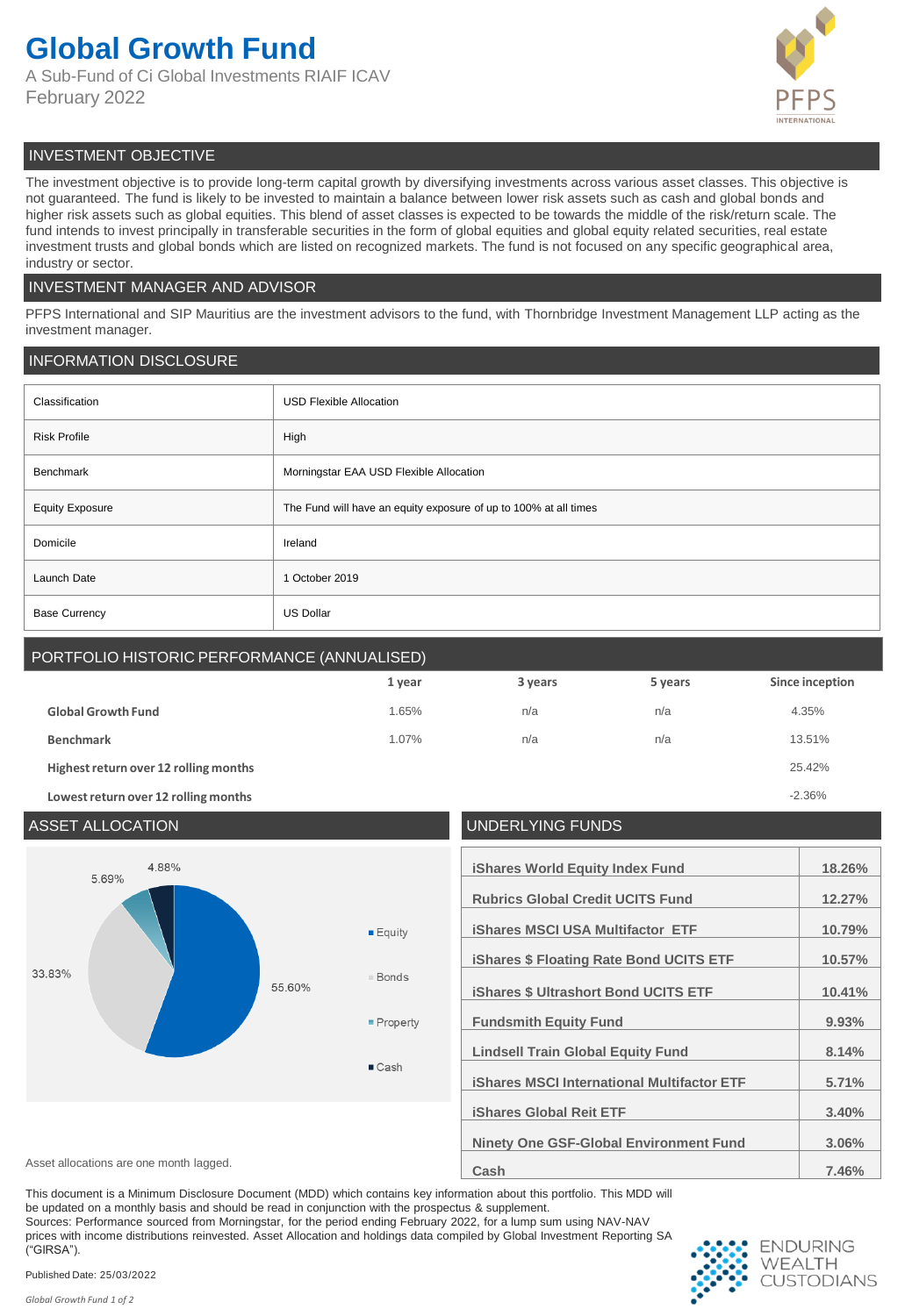## **Global Growth Fund**

A Sub-Fund of Ci Global Investments RIAIF ICAV February 2022



## INVESTMENT OBJECTIVE

The investment objective is to provide long-term capital growth by diversifying investments across various asset classes. This objective is not guaranteed. The fund is likely to be invested to maintain a balance between lower risk assets such as cash and global bonds and higher risk assets such as global equities. This blend of asset classes is expected to be towards the middle of the risk/return scale. The fund intends to invest principally in transferable securities in the form of global equities and global equity related securities, real estate investment trusts and global bonds which are listed on recognized markets. The fund is not focused on any specific geographical area, industry or sector.

## INVESTMENT MANAGER AND ADVISOR

PFPS International and SIP Mauritius are the investment advisors to the fund, with Thornbridge Investment Management LLP acting as the investment manager.

## INFORMATION DISCLOSURE

| Classification         | <b>USD Flexible Allocation</b>                                   |  |
|------------------------|------------------------------------------------------------------|--|
| <b>Risk Profile</b>    | High                                                             |  |
| Benchmark              | Morningstar EAA USD Flexible Allocation                          |  |
| <b>Equity Exposure</b> | The Fund will have an equity exposure of up to 100% at all times |  |
| Domicile               | Ireland                                                          |  |
| Launch Date            | 1 October 2019                                                   |  |
| <b>Base Currency</b>   | <b>US Dollar</b>                                                 |  |

## PORTFOLIO HISTORIC PERFORMANCE (ANNUALISED)

|                                       | 1 year | 3 years | 5 years | Since inception |
|---------------------------------------|--------|---------|---------|-----------------|
| <b>Global Growth Fund</b>             | 1.65%  | n/a     | n/a     | 4.35%           |
| <b>Benchmark</b>                      | 1.07%  | n/a     | n/a     | 13.51%          |
| Highest return over 12 rolling months |        |         |         | 25.42%          |
| Lowest return over 12 rolling months  |        |         |         | $-2.36%$        |

## ASSET ALLOCATION UNDERLYING FUNDS 4.88% **iShares World Equity Index Fund 18.26%** 5.69% **Rubrics Global Credit UCITS Fund 12.27% iShares MSCI USA Multifactor ETF 10.79%**  $E$ quity **iShares \$ Floating Rate Bond UCITS ETF 10.57%** 33.83% **Bonds** 55.60% **iShares \$ Ultrashort Bond UCITS ETF 10.41%** Property **Fundsmith Equity Fund 9.93% Lindsell Train Global Equity Fund 8.14%**  $\blacksquare$  Cash **iShares MSCI International Multifactor ETF 5.71% iShares Global Reit ETF 3.40% Ninety One GSF-Global Environment Fund 3.06%** Asset allocations are one month lagged. **Asset allocations are one month lagged. 7.46%** Asset allocations are one month lagged.

This document is a Minimum Disclosure Document (MDD) which contains key information about this portfolio. This MDD will be updated on a monthly basis and should be read in conjunction with the prospectus & supplement.

Sources: Performance sourced from Morningstar, for the period ending February 2022, for a lump sum using NAV-NAV prices with income distributions reinvested. Asset Allocation and holdings data compiled by Global Investment Reporting SA ("GIRSA").



Published Date: 25/03/2022